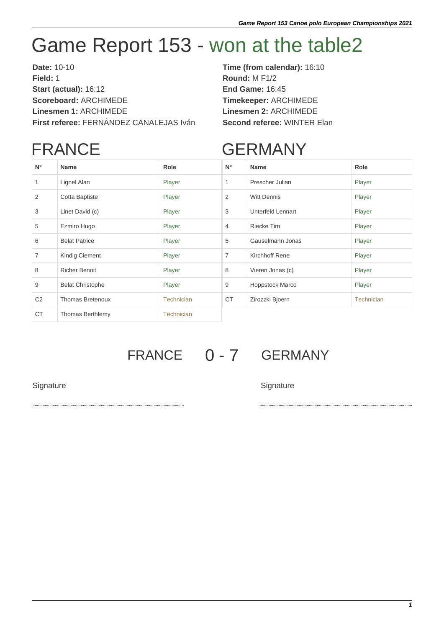## Game Report 153 - won at the table2

**Date:** 10-10 **Time (from calendar):** 16:10 **Field:** 1 **Round:** M F1/2 **Start (actual):** 16:12 **End Game:** 16:45 **Scoreboard:** ARCHIMEDE **Timekeeper:** ARCHIMEDE **Linesmen 1:** ARCHIMEDE **Linesmen 2:** ARCHIMEDE **First referee:** FERNÁNDEZ CANALEJAS Iván **Second referee:** WINTER Elan

## FRANCE

## GERMANY

| $N^{\circ}$    | <b>Name</b>             | Role              | $N^{\circ}$    | <b>Name</b>            | Role       |
|----------------|-------------------------|-------------------|----------------|------------------------|------------|
| 1              | Lignel Alan             | Player            | $\mathbf{1}$   | Prescher Julian        | Player     |
| 2              | Cotta Baptiste          | Player            | 2              | <b>Witt Dennis</b>     | Player     |
| 3              | Linet David (c)         | Player            | 3              | Unterfeld Lennart      | Player     |
| 5              | Ezmiro Hugo             | Player            | $\overline{4}$ | <b>Riecke Tim</b>      | Player     |
| 6              | <b>Belat Patrice</b>    | Player            | 5              | Gauselmann Jonas       | Player     |
| $\overline{7}$ | Kindig Clement          | Player            | $\overline{7}$ | <b>Kirchhoff Rene</b>  | Player     |
| 8              | <b>Richer Benoit</b>    | Player            | 8              | Vieren Jonas (c)       | Player     |
| 9              | <b>Belat Christophe</b> | Player            | 9              | <b>Hoppstock Marco</b> | Player     |
| C <sub>2</sub> | <b>Thomas Bretenoux</b> | <b>Technician</b> | <b>CT</b>      | Zirozzki Bjoern        | Technician |
| <b>CT</b>      | <b>Thomas Berthlemy</b> | <b>Technician</b> |                |                        |            |

## FRANCE 0 - 7 GERMANY

Signature Signature Signature Signature Signature Signature Signature Signature Signature